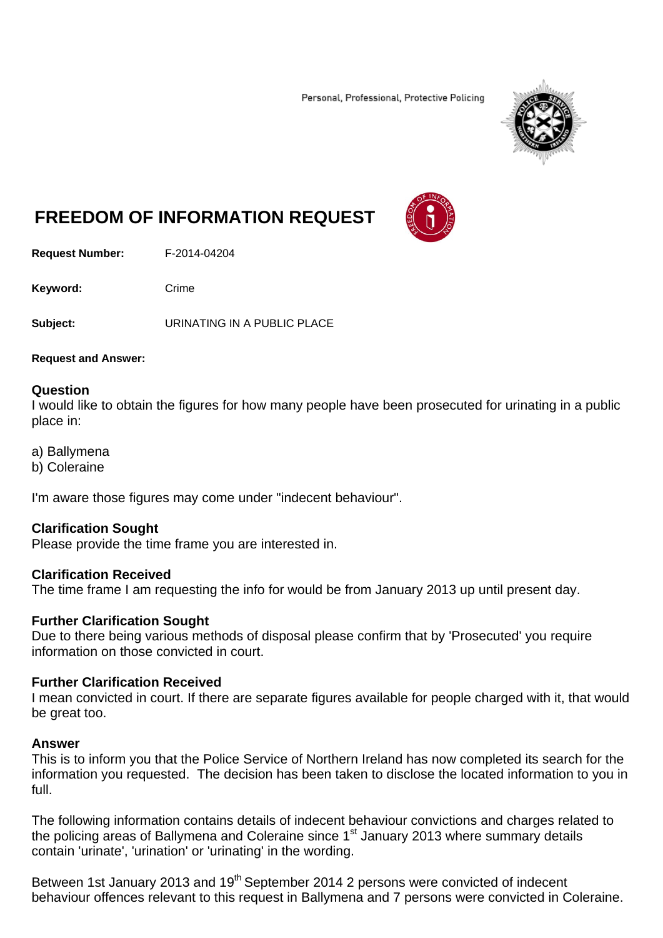Personal, Professional, Protective Policing



# **FREEDOM OF INFORMATION REQUEST**

**Request Number:** F-2014-04204

Keyword: Crime

**Subject:** URINATING IN A PUBLIC PLACE

#### **Request and Answer:**

#### **Question**

I would like to obtain the figures for how many people have been prosecuted for urinating in a public place in:

- a) Ballymena
- b) Coleraine

I'm aware those figures may come under "indecent behaviour".

## **Clarification Sought**

Please provide the time frame you are interested in.

## **Clarification Received**

The time frame I am requesting the info for would be from January 2013 up until present day.

## **Further Clarification Sought**

Due to there being various methods of disposal please confirm that by 'Prosecuted' you require information on those convicted in court.

## **Further Clarification Received**

I mean convicted in court. If there are separate figures available for people charged with it, that would be great too.

#### **Answer**

This is to inform you that the Police Service of Northern Ireland has now completed its search for the information you requested. The decision has been taken to disclose the located information to you in full.

The following information contains details of indecent behaviour convictions and charges related to the policing areas of Ballymena and Coleraine since 1<sup>st</sup> January 2013 where summary details contain 'urinate', 'urination' or 'urinating' in the wording.

Between 1st January 2013 and 19<sup>th</sup> September 2014 2 persons were convicted of indecent behaviour offences relevant to this request in Ballymena and 7 persons were convicted in Coleraine.